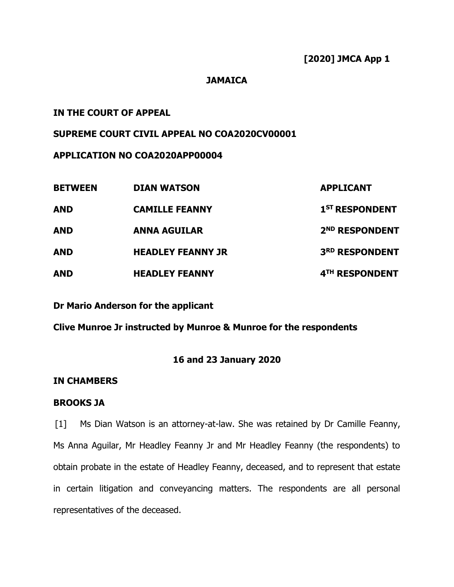### **JAMAICA**

# **IN THE COURT OF APPEAL**

## **SUPREME COURT CIVIL APPEAL NO COA2020CV00001**

## **APPLICATION NO COA2020APP00004**

| <b>BETWEEN</b> | <b>DIAN WATSON</b>       | <b>APPLICANT</b>           |
|----------------|--------------------------|----------------------------|
| <b>AND</b>     | <b>CAMILLE FEANNY</b>    | 1 <sup>ST</sup> RESPONDENT |
| <b>AND</b>     | <b>ANNA AGUILAR</b>      | 2 <sup>ND</sup> RESPONDENT |
| <b>AND</b>     | <b>HEADLEY FEANNY JR</b> | <b>3RD RESPONDENT</b>      |
| <b>AND</b>     | <b>HEADLEY FEANNY</b>    | 4TH RESPONDENT             |

**Dr Mario Anderson for the applicant**

**Clive Munroe Jr instructed by Munroe & Munroe for the respondents**

# **16 and 23 January 2020**

## **IN CHAMBERS**

### **BROOKS JA**

[1] Ms Dian Watson is an attorney-at-law. She was retained by Dr Camille Feanny, Ms Anna Aguilar, Mr Headley Feanny Jr and Mr Headley Feanny (the respondents) to obtain probate in the estate of Headley Feanny, deceased, and to represent that estate in certain litigation and conveyancing matters. The respondents are all personal representatives of the deceased.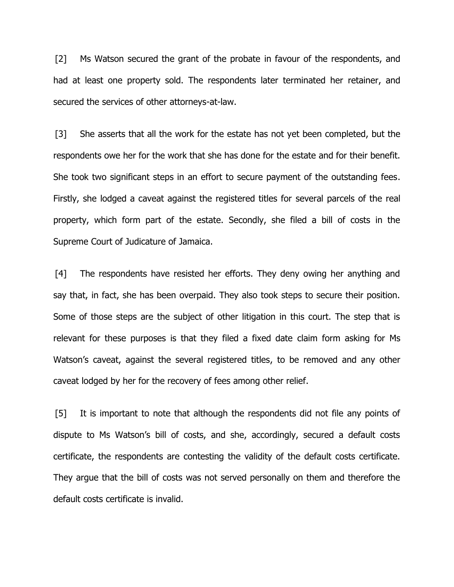[2] Ms Watson secured the grant of the probate in favour of the respondents, and had at least one property sold. The respondents later terminated her retainer, and secured the services of other attorneys-at-law.

[3] She asserts that all the work for the estate has not yet been completed, but the respondents owe her for the work that she has done for the estate and for their benefit. She took two significant steps in an effort to secure payment of the outstanding fees. Firstly, she lodged a caveat against the registered titles for several parcels of the real property, which form part of the estate. Secondly, she filed a bill of costs in the Supreme Court of Judicature of Jamaica.

[4] The respondents have resisted her efforts. They deny owing her anything and say that, in fact, she has been overpaid. They also took steps to secure their position. Some of those steps are the subject of other litigation in this court. The step that is relevant for these purposes is that they filed a fixed date claim form asking for Ms Watson's caveat, against the several registered titles, to be removed and any other caveat lodged by her for the recovery of fees among other relief.

[5] It is important to note that although the respondents did not file any points of dispute to Ms Watson's bill of costs, and she, accordingly, secured a default costs certificate, the respondents are contesting the validity of the default costs certificate. They argue that the bill of costs was not served personally on them and therefore the default costs certificate is invalid.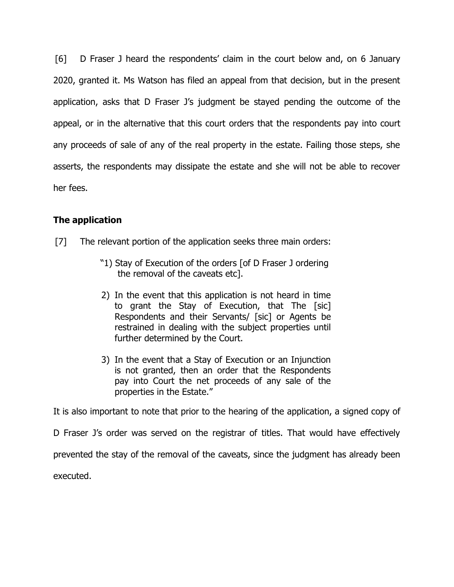[6] D Fraser J heard the respondents' claim in the court below and, on 6 January 2020, granted it. Ms Watson has filed an appeal from that decision, but in the present application, asks that D Fraser J's judgment be stayed pending the outcome of the appeal, or in the alternative that this court orders that the respondents pay into court any proceeds of sale of any of the real property in the estate. Failing those steps, she asserts, the respondents may dissipate the estate and she will not be able to recover her fees.

# **The application**

- [7] The relevant portion of the application seeks three main orders:
	- "1) Stay of Execution of the orders [of D Fraser J ordering the removal of the caveats etc].
	- 2) In the event that this application is not heard in time to grant the Stay of Execution, that The [sic] Respondents and their Servants/ [sic] or Agents be restrained in dealing with the subject properties until further determined by the Court.
	- 3) In the event that a Stay of Execution or an Injunction is not granted, then an order that the Respondents pay into Court the net proceeds of any sale of the properties in the Estate."

It is also important to note that prior to the hearing of the application, a signed copy of

D Fraser J's order was served on the registrar of titles. That would have effectively

prevented the stay of the removal of the caveats, since the judgment has already been

executed.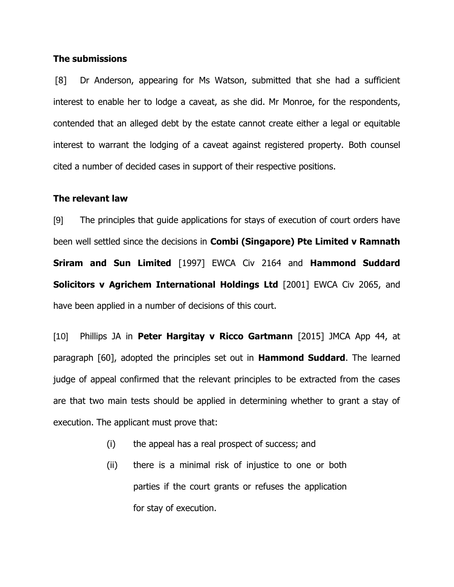#### **The submissions**

[8] Dr Anderson, appearing for Ms Watson, submitted that she had a sufficient interest to enable her to lodge a caveat, as she did. Mr Monroe, for the respondents, contended that an alleged debt by the estate cannot create either a legal or equitable interest to warrant the lodging of a caveat against registered property. Both counsel cited a number of decided cases in support of their respective positions.

#### **The relevant law**

[9] The principles that guide applications for stays of execution of court orders have been well settled since the decisions in **Combi (Singapore) Pte Limited v Ramnath Sriram and Sun Limited** [1997] EWCA Civ 2164 and **Hammond Suddard Solicitors v Agrichem International Holdings Ltd** [2001] EWCA Civ 2065, and have been applied in a number of decisions of this court.

[10] Phillips JA in **Peter Hargitay v Ricco Gartmann** [2015] JMCA App 44, at paragraph [60], adopted the principles set out in **Hammond Suddard**. The learned judge of appeal confirmed that the relevant principles to be extracted from the cases are that two main tests should be applied in determining whether to grant a stay of execution. The applicant must prove that:

- (i) the appeal has a real prospect of success; and
- (ii) there is a minimal risk of injustice to one or both parties if the court grants or refuses the application for stay of execution.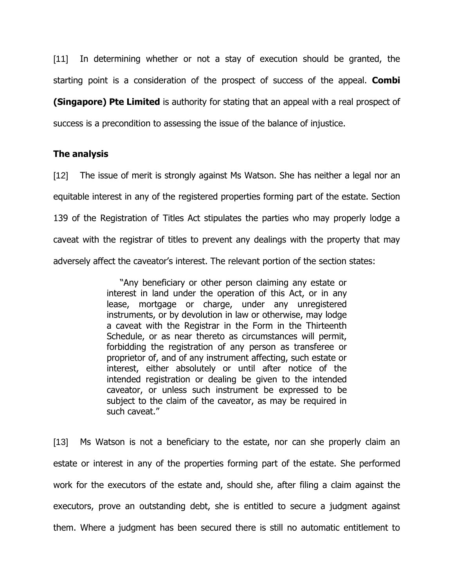[11] In determining whether or not a stay of execution should be granted, the starting point is a consideration of the prospect of success of the appeal. **Combi** 

**(Singapore) Pte Limited** is authority for stating that an appeal with a real prospect of success is a precondition to assessing the issue of the balance of injustice.

### **The analysis**

[12] The issue of merit is strongly against Ms Watson. She has neither a legal nor an equitable interest in any of the registered properties forming part of the estate. Section 139 of the Registration of Titles Act stipulates the parties who may properly lodge a caveat with the registrar of titles to prevent any dealings with the property that may adversely affect the caveator's interest. The relevant portion of the section states:

> "Any beneficiary or other person claiming any estate or interest in land under the operation of this Act, or in any lease, mortgage or charge, under any unregistered instruments, or by devolution in law or otherwise, may lodge a caveat with the Registrar in the Form in the Thirteenth Schedule, or as near thereto as circumstances will permit, forbidding the registration of any person as transferee or proprietor of, and of any instrument affecting, such estate or interest, either absolutely or until after notice of the intended registration or dealing be given to the intended caveator, or unless such instrument be expressed to be subject to the claim of the caveator, as may be required in such caveat."

[13] Ms Watson is not a beneficiary to the estate, nor can she properly claim an estate or interest in any of the properties forming part of the estate. She performed work for the executors of the estate and, should she, after filing a claim against the executors, prove an outstanding debt, she is entitled to secure a judgment against them. Where a judgment has been secured there is still no automatic entitlement to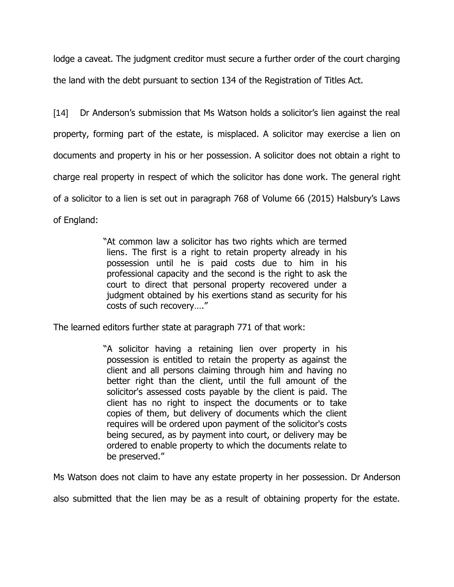lodge a caveat. The judgment creditor must secure a further order of the court charging the land with the debt pursuant to section 134 of the Registration of Titles Act.

[14] Dr Anderson's submission that Ms Watson holds a solicitor's lien against the real property, forming part of the estate, is misplaced. A solicitor may exercise a lien on documents and property in his or her possession. A solicitor does not obtain a right to charge real property in respect of which the solicitor has done work. The general right of a solicitor to a lien is set out in paragraph 768 of Volume 66 (2015) Halsbury's Laws of England:

> "At common law a solicitor has two rights which are termed liens. The first is a right to retain property already in his possession until he is paid costs due to him in his professional capacity and the second is the right to ask the court to direct that personal property recovered under a judgment obtained by his exertions stand as security for his costs of such recovery…."

The learned editors further state at paragraph 771 of that work:

"A solicitor having a retaining lien over property in his possession is entitled to retain the property as against the client and all persons claiming through him and having no better right than the client, until the full amount of the solicitor's assessed costs payable by the client is paid. The client has no right to inspect the documents or to take copies of them, but delivery of documents which the client requires will be ordered upon payment of the solicitor's costs being secured, as by payment into court, or delivery may be ordered to enable property to which the documents relate to be preserved."

Ms Watson does not claim to have any estate property in her possession. Dr Anderson

also submitted that the lien may be as a result of obtaining property for the estate.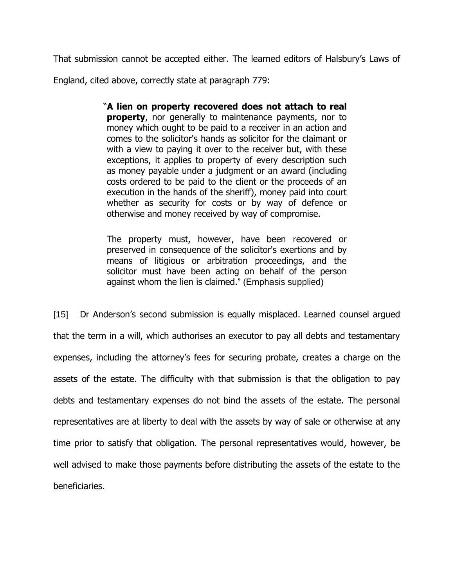That submission cannot be accepted either. The learned editors of Halsbury's Laws of

England, cited above, correctly state at paragraph 779:

"**A lien on property recovered does not attach to real property**, nor generally to maintenance payments, nor to money which ought to be paid to a receiver in an action and comes to the solicitor's hands as solicitor for the claimant or with a view to paying it over to the receiver but, with these exceptions, it applies to property of every description such as money payable under a judgment or an award (including costs ordered to be paid to the client or the proceeds of an execution in the hands of the sheriff), money paid into court whether as security for costs or by way of defence or otherwise and money received by way of compromise.

The property must, however, have been recovered or preserved in consequence of the solicitor's exertions and by means of litigious or arbitration proceedings, and the solicitor must have been acting on behalf of the person against whom the lien is claimed." (Emphasis supplied)

[15] Dr Anderson's second submission is equally misplaced. Learned counsel arqued that the term in a will, which authorises an executor to pay all debts and testamentary expenses, including the attorney's fees for securing probate, creates a charge on the assets of the estate. The difficulty with that submission is that the obligation to pay debts and testamentary expenses do not bind the assets of the estate. The personal representatives are at liberty to deal with the assets by way of sale or otherwise at any time prior to satisfy that obligation. The personal representatives would, however, be well advised to make those payments before distributing the assets of the estate to the beneficiaries.